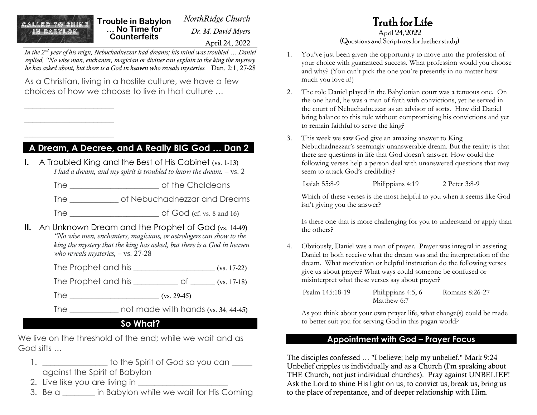#### *NorthRidge Church* **Trouble in Babylon**  CALLED TO SHINE **… No Time for**  IN BABYLON *Dr. M. David Myers* **Counterfeits** April 24, 2022

In the 2<sup>nd</sup> year of his reign, Nebuchadnezzar had dreams; his mind was troubled  $\ldots$  Daniel *replied, "No wise man, enchanter, magician or diviner can explain to the king the mystery he has asked about, but there is a God in heaven who reveals mysteries.* Dan. 2:1, 27-28

As a Christian, living in a hostile culture, we have a few choices of how we choose to live in that culture …

 $\overline{\phantom{a}}$  , where  $\overline{\phantom{a}}$ 

 $\overline{\phantom{a}}$  , where  $\overline{\phantom{a}}$ 

 $\overline{\phantom{a}}$  , where  $\overline{\phantom{a}}$ 

## **A Dream, A Decree, and A Really BIG God … Dan 2**

**I.** A Troubled King and the Best of His Cabinet (vs. 1-13) *I had a dream, and my spirit is troubled to know the dream.* – vs. 2

The  $\qquad \qquad$  of the Chaldeans

The \_\_\_\_\_\_\_\_\_\_\_\_ of Nebuchadnezzar and Dreams The  $\qquad \qquad$  of God (cf. vs. 8 and 16)

**II.** An Unknown Dream and the Prophet of God (vs. 14-49) *"No wise men, enchanters, magicians, or astrologers can show to the king the mystery that the king has asked, but there is a God in heaven who reveals mysteries,* – vs. 27-28

The Prophet and his \_\_\_\_\_\_\_\_\_\_\_\_\_\_\_\_\_\_\_\_ (vs. 17-22)

The Prophet and his \_\_\_\_\_\_\_\_\_\_\_ of \_\_\_\_\_\_ (vs. 17-18)

 $The$  (vs. 29-45)

The  $\sim$  not made with hands (vs. 34, 44-45)

#### **So What?**

We live on the threshold of the end; while we wait and as God sifts …

- 1. \_\_\_\_\_\_\_\_\_\_\_\_\_\_\_\_\_ to the Spirit of God so you can \_\_\_\_\_ against the Spirit of Babylon
- 2. Live like you are living in \_\_\_\_\_\_\_\_\_\_\_\_\_\_\_\_\_\_\_\_\_\_
- 3. Be a \_\_\_\_\_\_\_\_ in Babylon while we wait for His Coming

# Truth for Life

#### April 24, 2022 (Questions and Scriptures for further study)

- 1. You've just been given the opportunity to move into the profession of your choice with guaranteed success. What profession would you choose and why? (You can't pick the one you're presently in no matter how much you love it!)
- 2. The role Daniel played in the Babylonian court was a tenuous one. On the one hand, he was a man of faith with convictions, yet he served in the court of Nebuchadnezzar as an advisor of sorts. How did Daniel bring balance to this role without compromising his convictions and yet to remain faithful to serve the king?
- This week we saw God give an amazing answer to King Nebuchadnezzar's seemingly unanswerable dream. But the reality is that there are questions in life that God doesn't answer. How could the following verses help a person deal with unanswered questions that may seem to attack God's credibility?

Isaiah 55:8-9 Philippians 4:19 2 Peter 3:8-9

Which of these verses is the most helpful to you when it seems like God isn't giving you the answer?

Is there one that is more challenging for you to understand or apply than the others?

4. Obviously, Daniel was a man of prayer. Prayer was integral in assisting Daniel to both receive what the dream was and the interpretation of the dream. What motivation or helpful instruction do the following verses give us about prayer? What ways could someone be confused or misinterpret what these verses say about prayer?

| Psalm 145:18-19 | Philippians 4:5, 6 | Romans 8:26-27 |
|-----------------|--------------------|----------------|
|                 | Matthew 6:7        |                |

As you think about your own prayer life, what change(s) could be made to better suit you for serving God in this pagan world?

#### **Appointment with God – Prayer Focus**

The disciples confessed … "I believe; help my unbelief." Mark 9:24 Unbelief cripples us individually and as a Church (I'm speaking about THE Church, not just individual churches). Pray against UNBELIEF! Ask the Lord to shine His light on us, to convict us, break us, bring us to the place of repentance, and of deeper relationship with Him.